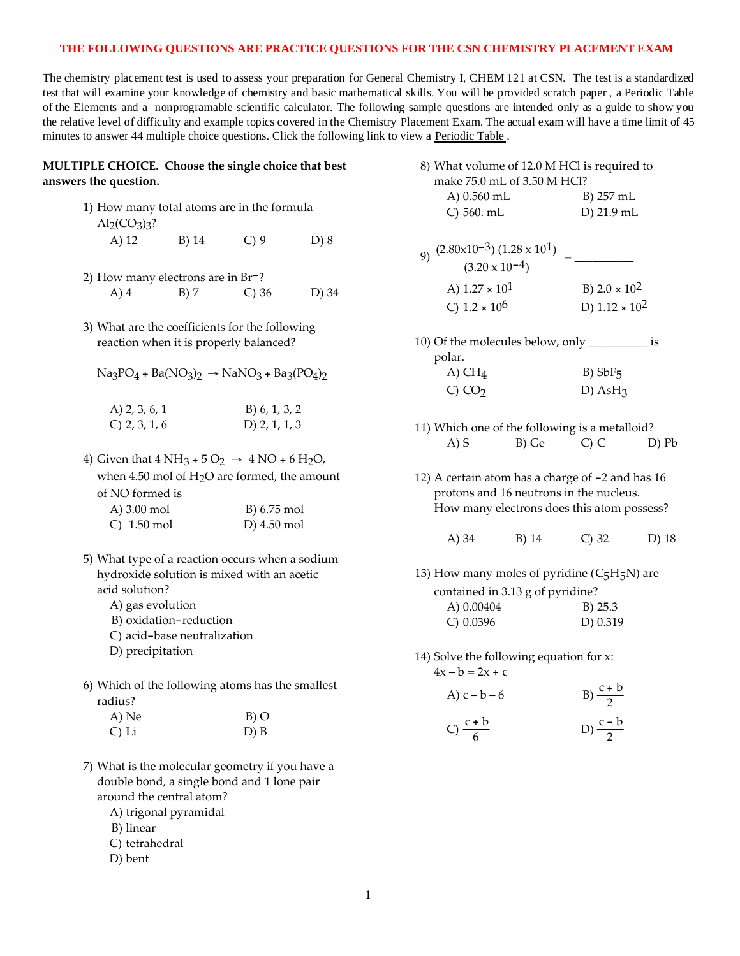## **THE FOLLOWING QUESTIONS ARE PRACTICE QUESTIONS FOR THE CSN CHEMISTRY PLACEMENT EXAM**

The chemistry placement test is used to assess your preparation for General Chemistry I, CHEM 121 at CSN. The test is a standardized test that will examine your knowledge of chemistry and basic mathematical skills. You will be provided scratch paper , a Periodic Table of the Elements and a nonprogramable scientific calculator. The following sample questions are intended only as a guide to show you the relative level of difficulty and example topics covered in the Chemistry Placement Exam. The actual exam will have a time limit of 45 minutes to answer 44 multiple choice questions. Click the following link to view a [Periodic Table](http://www.csn.edu/PDFFiles/Testing Center/Periodic Table.pdf) .

## **MULTIPLE CHOICE. Choose the single choice that best answers the question.**

- 1) How many total atoms are in the formula  $\text{Al}_2(\text{CO}_3)_3$ ? A) 12 B) 14 C) 9 D) 8
- 2) How many electrons are in Br-? A) 4 B) 7 C) 36 D) 34
- 3) What are the coefficients for the following reaction when it is properly balanced?
	- $Na<sub>3</sub>PO<sub>4</sub> + Ba(NO<sub>3</sub>)<sub>2</sub> \rightarrow NaNO<sub>3</sub> + Ba<sub>3</sub>(PO<sub>4</sub>)<sub>2</sub>$

| A) 2, 3, 6, 1   | B) 6, 1, 3, 2   |
|-----------------|-----------------|
| $C)$ 2, 3, 1, 6 | D) $2, 1, 1, 3$ |

4) Given that  $4 NH_3 + 5 O_2 \rightarrow 4 NO + 6 H_2O$ , when 4.50 mol of  $H<sub>2</sub>O$  are formed, the amount of NO formed is

| A) 3.00 mol   | B) 6.75 mol            |
|---------------|------------------------|
| $C)$ 1.50 mol | D $(4.50 \text{ mol})$ |

- 5) What type of a reaction occurs when a sodium hydroxide solution is mixed with an acetic acid solution?
	- A) gas evolution
	- B) oxidation-reduction
	- C) acid-base neutralization
	- D) precipitation
- 6) Which of the following atoms has the smallest radius?

| A) Ne | $B)$ O |
|-------|--------|
| C) Li | D) B   |

- 7) What is the molecular geometry if you have a double bond, a single bond and 1 lone pair around the central atom?
	- A) trigonal pyramidal
	- B) linear
	- C) tetrahedral
	- D) bent

| make 75.0 mL of 3.50 M HCl?                                                   |                                 |
|-------------------------------------------------------------------------------|---------------------------------|
| A) $0.560$ mL                                                                 | B) 257 mL                       |
| C) 560. mL                                                                    | D) 21.9 mL                      |
| 9) $\frac{(2.80 \times 10^{-3}) (1.28 \times 10^{1})}{(3.20 \times 10^{-4})}$ |                                 |
| A) $1.27 \times 10^1$                                                         | B) 2.0 $\times$ 10 <sup>2</sup> |
| C) $1.2 \times 10^6$                                                          | D) $1.12 \times 10^2$           |

8) What volume of 12.0 M HCl is required to

- 10) Of the molecules below, only \_\_\_\_\_\_\_\_\_\_ is polar. A)  $CH<sub>4</sub>$  B)  $SbF<sub>5</sub>$  $CO<sub>2</sub>$  D) AsH<sub>3</sub>
- 11) Which one of the following is a metalloid? A) S B) Ge C) C D) Pb
- 12) A certain atom has a charge of -2 and has 16 protons and 16 neutrons in the nucleus. How many electrons does this atom possess?
	- A) 34 B) 14 C) 32 D) 18

13) How many moles of pyridine  $(C_5H_5N)$  are contained in 3.13 g of pyridine? A) 0.00404 B) 25.3

- C) 0.0396 D) 0.319
- 14) Solve the following equation for x:  $4x - b = 2x + c$

$$
A) c - b - 6 \qquad \qquad B) \frac{c + b}{2}
$$

$$
C) \frac{c+b}{6}
$$
 
$$
D) \frac{c-b}{2}
$$